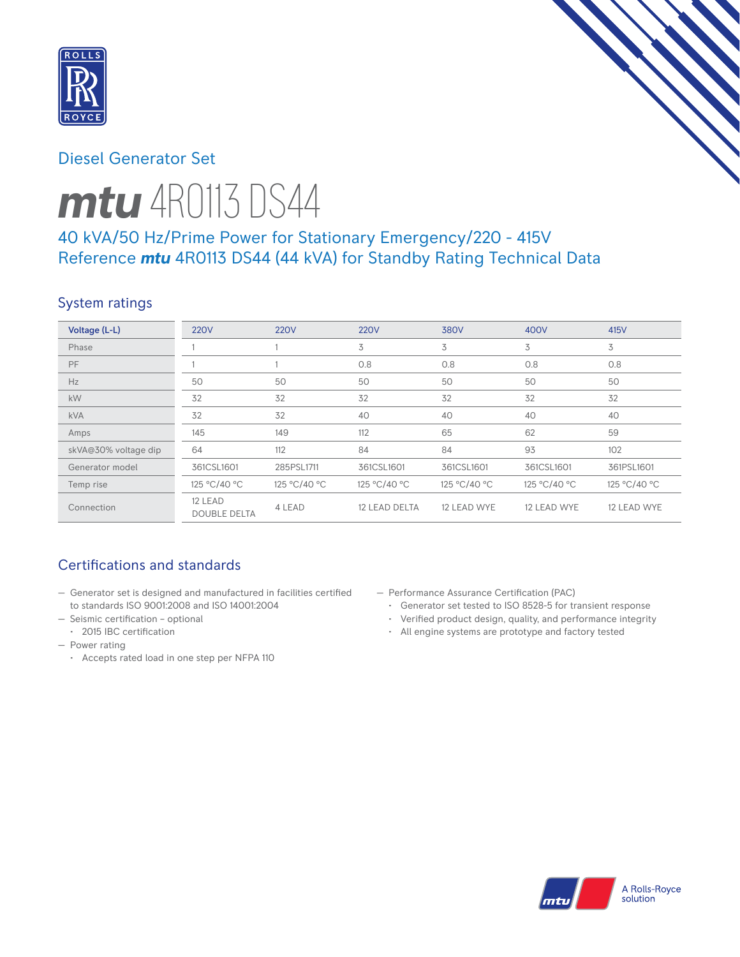

# Diesel Generator Set



# 40 kVA/50 Hz/Prime Power for Stationary Emergency/220 - 415V Reference *mtu* 4R0113 DS44 (44 kVA) for Standby Rating Technical Data

## System ratings

| Voltage (L-L)        | <b>220V</b>                    | <b>220V</b>  | <b>220V</b>   | 380V         | 400V         | 415V         |
|----------------------|--------------------------------|--------------|---------------|--------------|--------------|--------------|
| Phase                |                                |              | 3             | 3            | 3            | 3            |
| PF                   |                                |              | 0.8           | 0.8          | 0.8          | 0.8          |
| Hz                   | 50                             | 50           | 50            | 50           | 50           | 50           |
| kW                   | 32                             | 32           | 32            | 32           | 32           | 32           |
| <b>kVA</b>           | 32                             | 32           | 40            | 40           | 40           | 40           |
| Amps                 | 145                            | 149          | 112           | 65           | 62           | 59           |
| skVA@30% voltage dip | 64                             | 112          | 84            | 84           | 93           | 102          |
| Generator model      | 361CSL1601                     | 285PSL1711   | 361CSL1601    | 361CSL1601   | 361CSL1601   | 361PSL1601   |
| Temp rise            | 125 °C/40 °C                   | 125 °C/40 °C | 125 °C/40 °C  | 125 °C/40 °C | 125 °C/40 °C | 125 °C/40 °C |
| Connection           | 12 LEAD<br><b>DOUBLE DELTA</b> | 4 LEAD       | 12 LEAD DELTA | 12 LEAD WYE  | 12 LEAD WYE  | 12 LEAD WYE  |

## Certifications and standards

- Generator set is designed and manufactured in facilities certified to standards ISO 9001:2008 and ISO 14001:2004
- Seismic certification optional
- 2015 IBC certification
- Power rating
	- Accepts rated load in one step per NFPA 110
- Performance Assurance Certification (PAC)
	- Generator set tested to ISO 8528-5 for transient response
	- Verified product design, quality, and performance integrity
	- All engine systems are prototype and factory tested

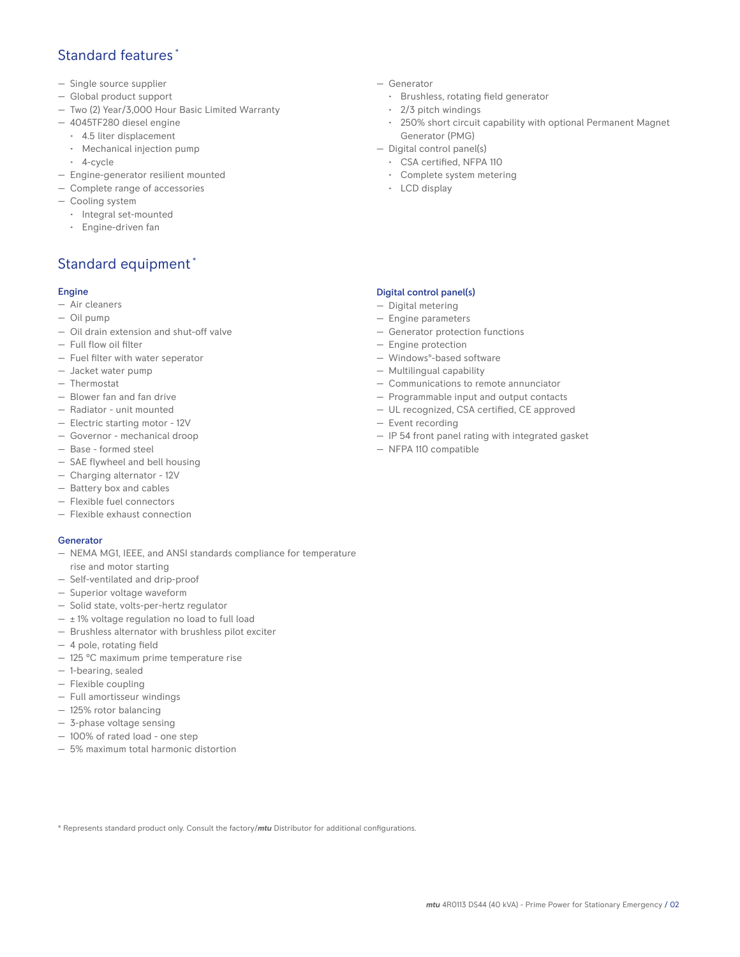## Standard features \*

- Single source supplier
- Global product support
- Two (2) Year/3,000 Hour Basic Limited Warranty
- 4045TF280 diesel engine
	- 4.5 liter displacement
	- Mechanical injection pump
	- 4-cycle
- Engine-generator resilient mounted
- Complete range of accessories
- Cooling system
- Integral set-mounted
	- Engine-driven fan

## Standard equipment \*

### Engine

- Air cleaners
- Oil pump
- Oil drain extension and shut-off valve
- Full flow oil filter
- Fuel filter with water seperator
- Jacket water pump
- Thermostat
- Blower fan and fan drive
- Radiator unit mounted
- Electric starting motor 12V
- Governor mechanical droop
- Base formed steel
- SAE flywheel and bell housing
- Charging alternator 12V
- Battery box and cables
- Flexible fuel connectors
- Flexible exhaust connection

### Generator

- NEMA MG1, IEEE, and ANSI standards compliance for temperature rise and motor starting
- Self-ventilated and drip-proof
- Superior voltage waveform
- Solid state, volts-per-hertz regulator
- $\pm$  1% voltage regulation no load to full load
- Brushless alternator with brushless pilot exciter
- 4 pole, rotating field
- 125 °C maximum prime temperature rise
- 1-bearing, sealed
- Flexible coupling
- Full amortisseur windings
- 125% rotor balancing
- 3-phase voltage sensing
- 100% of rated load one step
- 5% maximum total harmonic distortion
- Generator
	- Brushless, rotating field generator
	- 2/3 pitch windings
	- 250% short circuit capability with optional Permanent Magnet Generator (PMG)
- Digital control panel(s)
	- CSA certified, NFPA 110
	- Complete system metering
	- LCD display

### Digital control panel(s)

- Digital metering
- Engine parameters
- Generator protection functions
- Engine protection
- Windows®-based software
- Multilingual capability
- Communications to remote annunciator
- Programmable input and output contacts
- UL recognized, CSA certified, CE approved
- Event recording
- IP 54 front panel rating with integrated gasket
- NFPA 110 compatible

\* Represents standard product only. Consult the factory/*mtu* Distributor for additional configurations.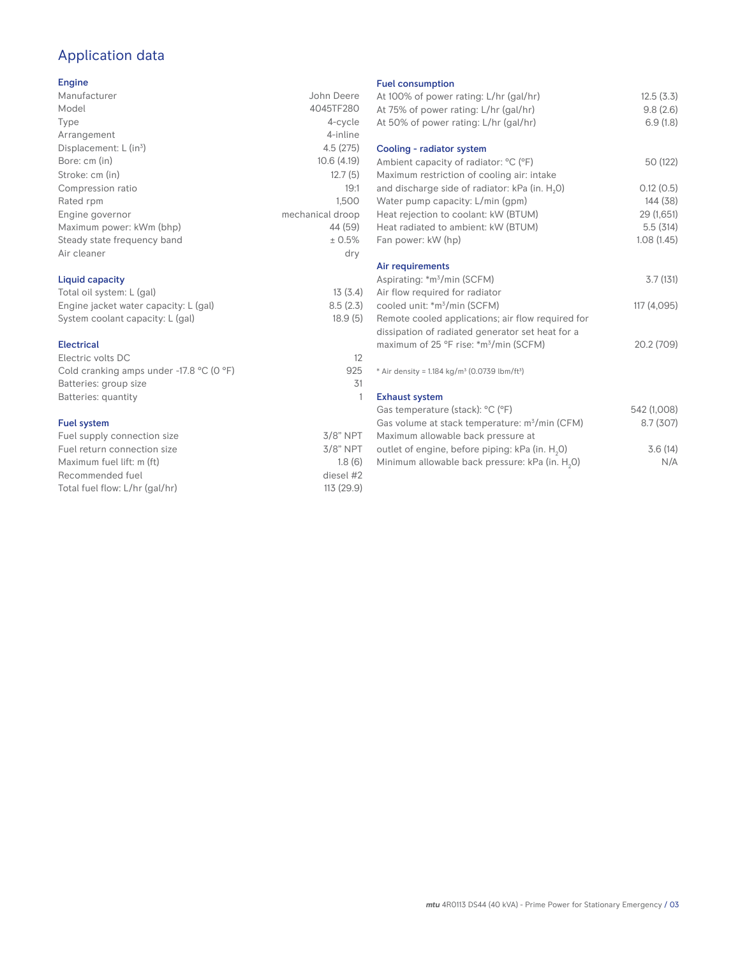# Application data

### Engine

| Manufacturer                         | John Deere       |
|--------------------------------------|------------------|
| Model                                | 4045TF280        |
| Type                                 | 4-cycle          |
| Arrangement                          | 4-inline         |
| Displacement: $L$ (in <sup>3</sup> ) | 4.5(275)         |
| Bore: cm (in)                        | 10.6(4.19)       |
| Stroke: cm (in)                      | 12.7(5)          |
| Compression ratio                    | 19:1             |
| Rated rpm                            | 1.500            |
| Engine governor                      | mechanical droop |
| Maximum power: kWm (bhp)             | 44 (59)          |
| Steady state frequency band          | ± 0.5%           |
| Air cleaner                          | dry              |
|                                      |                  |

### Liquid capacity

| Total oil system: L (gal)             | 13(3.4)  |
|---------------------------------------|----------|
| Engine jacket water capacity: L (gal) | 8.5(2.3) |
| System coolant capacity: L (gal)      | 18.9(5)  |

#### Electrical

| Electric volts DC                                            | 12  |
|--------------------------------------------------------------|-----|
| Cold cranking amps under -17.8 $^{\circ}$ C (O $^{\circ}$ F) | 925 |
| Batteries: group size                                        | .31 |
| Batteries: quantity                                          |     |
|                                                              |     |

### Fuel system

| $3/8$ " NPT |
|-------------|
| $3/8$ " NPT |
| 1.8(6)      |
| diesel #2   |
| 113 (29.9)  |
|             |

#### Fuel consumption

| At 100% of power rating: L/hr (gal/hr)<br>At 75% of power rating: L/hr (gal/hr)<br>At 50% of power rating: L/hr (gal/hr) | 12.5(3.3)<br>9.8(2.6)<br>6.9(1.8) |
|--------------------------------------------------------------------------------------------------------------------------|-----------------------------------|
| Cooling - radiator system<br>Ambient capacity of radiator: °C (°F)                                                       | 50 (122)                          |
| Maximum restriction of cooling air: intake                                                                               |                                   |
| and discharge side of radiator: kPa (in. H <sub>2</sub> O)                                                               | 0.12(0.5)                         |
| Water pump capacity: L/min (gpm)                                                                                         | 144 (38)                          |
| Heat rejection to coolant: kW (BTUM)                                                                                     | 29 (1,651)                        |
| Heat radiated to ambient: kW (BTUM)                                                                                      | 5.5(314)                          |
| Fan power: kW (hp)                                                                                                       | 1.08(1.45)                        |
| Air requirements                                                                                                         |                                   |
| Aspirating: *m <sup>3</sup> /min (SCFM)                                                                                  | 3.7(131)                          |
| Air flow required for radiator                                                                                           |                                   |
| cooled unit: *m <sup>3</sup> /min (SCFM)                                                                                 | 117 (4,095)                       |
| Remote cooled applications; air flow required for                                                                        |                                   |
| dissipation of radiated generator set heat for a                                                                         |                                   |
| maximum of 25 °F rise: *m <sup>3</sup> /min (SCFM)                                                                       | 20.2 (709)                        |
|                                                                                                                          |                                   |
| * Air density = $1.184 \text{ kg/m}^3$ (0.0739 lbm/ft <sup>3</sup> )                                                     |                                   |
| <b>Exhaust system</b>                                                                                                    |                                   |
| Gas temperature (stack): °C (°F)                                                                                         | 542 (1,008)                       |
| Gas volume at stack temperature: m <sup>3</sup> /min (CFM)                                                               | 8.7(307)                          |
| Maximum allowable back pressure at                                                                                       |                                   |
| outlet of engine, before piping: kPa (in. H <sub>2</sub> 0)                                                              | 3.6(14)                           |
| Minimum allowable back pressure: kPa (in. H <sub>2</sub> 0)                                                              | N/A                               |
|                                                                                                                          |                                   |